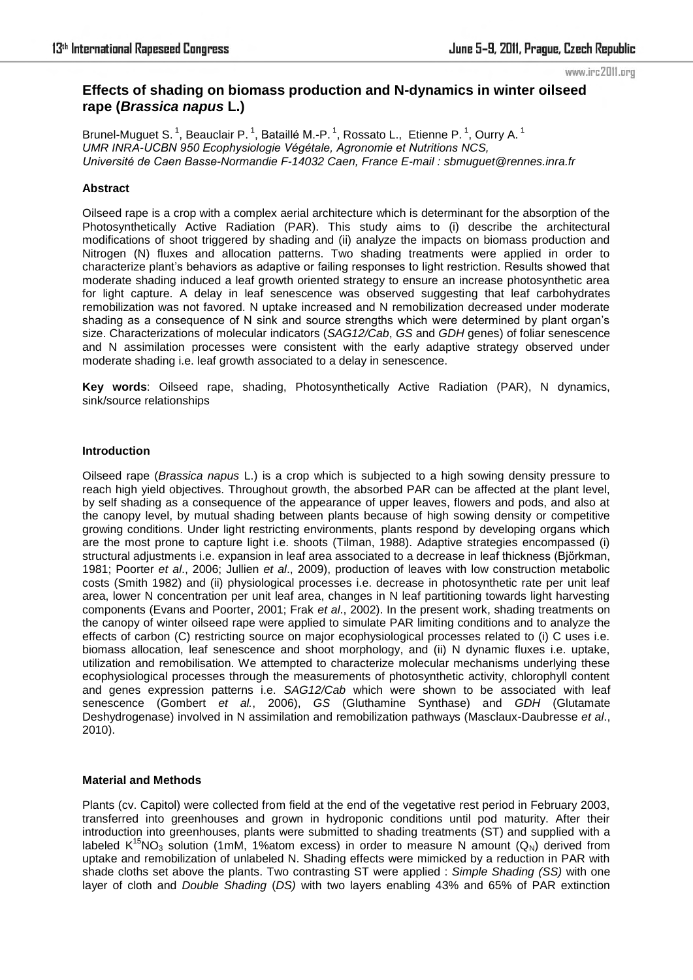#### www.irc2011.org

# **Effects of shading on biomass production and N-dynamics in winter oilseed rape (***Brassica napus* **L.)**

Brunel-Muguet S.<sup>1</sup>, Beauclair P.<sup>1</sup>, Bataillé M.-P.<sup>1</sup>, Rossato L., Etienne P.<sup>1</sup>, Ourry A.<sup>1</sup> *UMR INRA-UCBN 950 Ecophysiologie Végétale, Agronomie et Nutritions NCS, Université de Caen Basse-Normandie F-14032 Caen, France E-mail : sbmuguet@rennes.inra.fr*

## **Abstract**

Oilseed rape is a crop with a complex aerial architecture which is determinant for the absorption of the Photosynthetically Active Radiation (PAR). This study aims to (i) describe the architectural modifications of shoot triggered by shading and (ii) analyze the impacts on biomass production and Nitrogen (N) fluxes and allocation patterns. Two shading treatments were applied in order to characterize plant's behaviors as adaptive or failing responses to light restriction. Results showed that moderate shading induced a leaf growth oriented strategy to ensure an increase photosynthetic area for light capture. A delay in leaf senescence was observed suggesting that leaf carbohydrates remobilization was not favored. N uptake increased and N remobilization decreased under moderate shading as a consequence of N sink and source strengths which were determined by plant organ's size. Characterizations of molecular indicators (*SAG12/Cab*, *GS* and *GDH* genes) of foliar senescence and N assimilation processes were consistent with the early adaptive strategy observed under moderate shading i.e. leaf growth associated to a delay in senescence.

**Key words**: Oilseed rape, shading, Photosynthetically Active Radiation (PAR), N dynamics, sink/source relationships

### **Introduction**

Oilseed rape (*Brassica napus* L.) is a crop which is subjected to a high sowing density pressure to reach high yield objectives. Throughout growth, the absorbed PAR can be affected at the plant level, by self shading as a consequence of the appearance of upper leaves, flowers and pods, and also at the canopy level, by mutual shading between plants because of high sowing density or competitive growing conditions. Under light restricting environments, plants respond by developing organs which are the most prone to capture light i.e. shoots (Tilman, 1988). Adaptive strategies encompassed (i) structural adjustments i.e. expansion in leaf area associated to a decrease in leaf thickness (Biörkman, 1981; Poorter *et al*., 2006; Jullien *et al*., 2009), production of leaves with low construction metabolic costs (Smith 1982) and (ii) physiological processes i.e. decrease in photosynthetic rate per unit leaf area, lower N concentration per unit leaf area, changes in N leaf partitioning towards light harvesting components (Evans and Poorter, 2001; Frak *et al*., 2002). In the present work, shading treatments on the canopy of winter oilseed rape were applied to simulate PAR limiting conditions and to analyze the effects of carbon (C) restricting source on major ecophysiological processes related to (i) C uses i.e. biomass allocation, leaf senescence and shoot morphology, and (ii) N dynamic fluxes i.e. uptake, utilization and remobilisation. We attempted to characterize molecular mechanisms underlying these ecophysiological processes through the measurements of photosynthetic activity, chlorophyll content and genes expression patterns i.e. *SAG12/Cab* which were shown to be associated with leaf senescence (Gombert *et al.*, 2006), *GS* (Gluthamine Synthase) and *GDH* (Glutamate Deshydrogenase) involved in N assimilation and remobilization pathways (Masclaux-Daubresse *et al*., 2010).

## **Material and Methods**

Plants (cv. Capitol) were collected from field at the end of the vegetative rest period in February 2003, transferred into greenhouses and grown in hydroponic conditions until pod maturity. After their introduction into greenhouses, plants were submitted to shading treatments (ST) and supplied with a labeled K<sup>15</sup>NO<sub>3</sub> solution (1mM, 1%atom excess) in order to measure N amount (Q<sub>N</sub>) derived from uptake and remobilization of unlabeled N. Shading effects were mimicked by a reduction in PAR with shade cloths set above the plants. Two contrasting ST were applied : *Simple Shading (SS)* with one layer of cloth and *Double Shading* (*DS)* with two layers enabling 43% and 65% of PAR extinction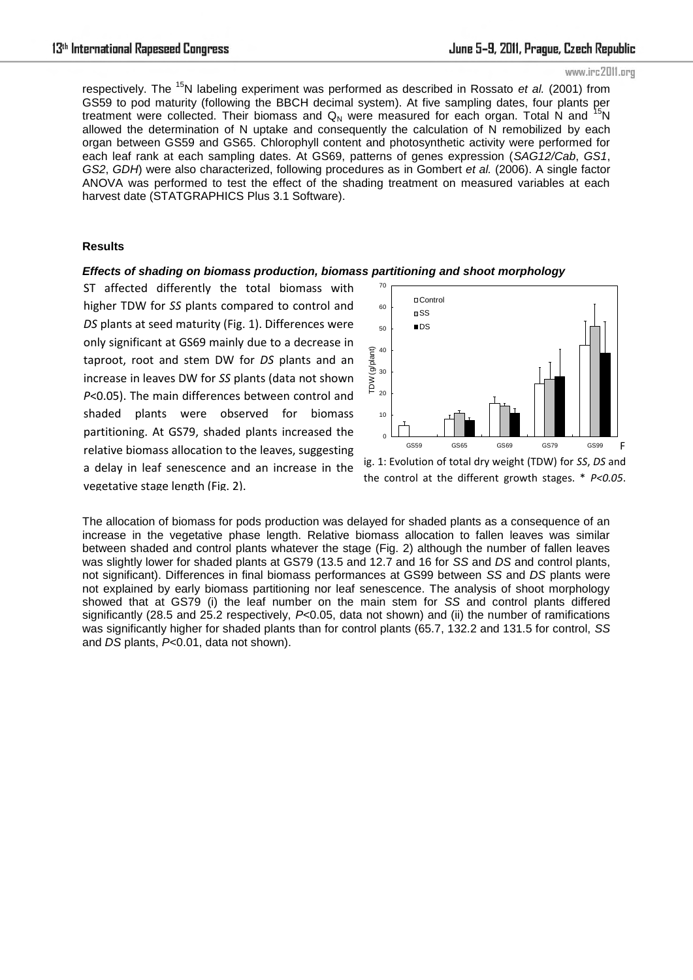### www.irc2011.org

respectively. The <sup>15</sup>N labeling experiment was performed as described in Rossato *et al.* (2001) from GS59 to pod maturity (following the BBCH decimal system). At five sampling dates, four plants per treatment were collected. Their biomass and  $Q_N$  were measured for each organ. Total N and <sup>15</sup>N allowed the determination of N uptake and consequently the calculation of N remobilized by each organ between GS59 and GS65. Chlorophyll content and photosynthetic activity were performed for each leaf rank at each sampling dates. At GS69, patterns of genes expression (*SAG12/Cab*, *GS1*, *GS2*, *GDH*) were also characterized, following procedures as in Gombert *et al.* (2006). A single factor ANOVA was performed to test the effect of the shading treatment on measured variables at each harvest date (STATGRAPHICS Plus 3.1 Software).

### **Results**

### *Effects of shading on biomass production, biomass partitioning and shoot morphology*

ST affected differently the total biomass with higher TDW for *SS* plants compared to control and *DS* plants at seed maturity (Fig. 1). Differences were only significant at GS69 mainly due to a decrease in taproot, root and stem DW for *DS* plants and an increase in leaves DW for *SS* plants (data not shown *P*<0.05). The main differences between control and shaded plants were observed for biomass partitioning. At GS79, shaded plants increased the relative biomass allocation to the leaves, suggesting a delay in leaf senescence and an increase in the vegetative stage length (Fig. 2).



ig. 1: Evolution of total dry weight (TDW) for *SS*, *DS* and the control at the different growth stages. \* *P<0.05*.

The allocation of biomass for pods production was delayed for shaded plants as a consequence of an increase in the vegetative phase length. Relative biomass allocation to fallen leaves was similar between shaded and control plants whatever the stage (Fig. 2) although the number of fallen leaves was slightly lower for shaded plants at GS79 (13.5 and 12.7 and 16 for *SS* and *DS* and control plants, not significant). Differences in final biomass performances at GS99 between *SS* and *DS* plants were not explained by early biomass partitioning nor leaf senescence. The analysis of shoot morphology showed that at GS79 (i) the leaf number on the main stem for *SS* and control plants differed significantly (28.5 and 25.2 respectively, P<0.05, data not shown) and (ii) the number of ramifications was significantly higher for shaded plants than for control plants (65.7, 132.2 and 131.5 for control, *SS* and *DS* plants, *P*<0.01, data not shown).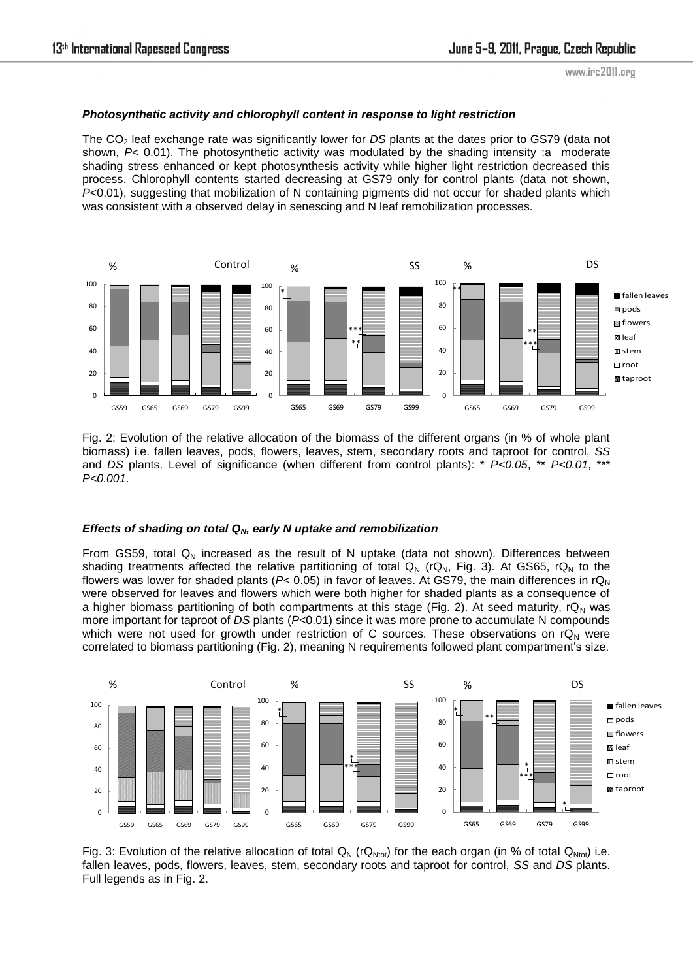# *Photosynthetic activity and chlorophyll content in response to light restriction*

The CO<sub>2</sub> leaf exchange rate was significantly lower for *DS* plants at the dates prior to GS79 (data not shown,  $P<sub>0.01</sub>$ . The photosynthetic activity was modulated by the shading intensity :a moderate shading stress enhanced or kept photosynthesis activity while higher light restriction decreased this process. Chlorophyll contents started decreasing at GS79 only for control plants (data not shown, *P*<0.01), suggesting that mobilization of N containing pigments did not occur for shaded plants which was consistent with a observed delay in senescing and N leaf remobilization processes.



Fig. 2: Evolution of the relative allocation of the biomass of the different organs (in % of whole plant biomass) i.e. fallen leaves, pods, flowers, leaves, stem, secondary roots and taproot for control, *SS* and *DS* plants. Level of significance (when different from control plants): \* *P<0.05*, \*\* *P<0.01*, \*\*\* *P<0.001*.

# *Effects of shading on total QN, early N uptake and remobilization*

From GS59, total  $Q_N$  increased as the result of N uptake (data not shown). Differences between shading treatments affected the relative partitioning of total  $Q_N$  (r $Q_N$ , Fig. 3). At GS65, r $Q_N$  to the flowers was lower for shaded plants ( $P$ < 0.05) in favor of leaves. At GS79, the main differences in  $rQ_N$ were observed for leaves and flowers which were both higher for shaded plants as a consequence of a higher biomass partitioning of both compartments at this stage (Fig. 2). At seed maturity,  $rQ_N$  was more important for taproot of *DS* plants (*P*<0.01) since it was more prone to accumulate N compounds which were not used for growth under restriction of C sources. These observations on  $rQ_N$  were correlated to biomass partitioning (Fig. 2), meaning N requirements followed plant compartment's size.



Fig. 3: Evolution of the relative allocation of total  $Q_N$  (r $Q_{Ntot}$ ) for the each organ (in % of total  $Q_{Ntot}$ ) i.e. fallen leaves, pods, flowers, leaves, stem, secondary roots and taproot for control, *SS* and *DS* plants. Full legends as in Fig. 2.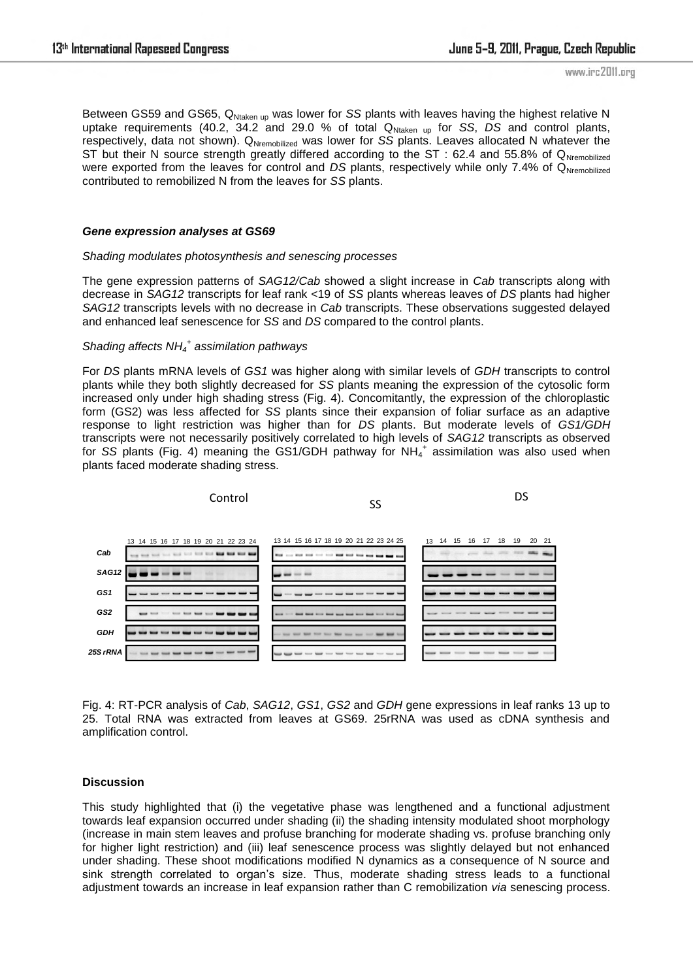Between GS59 and GS65, Q<sub>Ntaken up</sub> was lower for *SS* plants with leaves having the highest relative N uptake requirements (40.2, 34.2 and 29.0 % of total Q<sub>Ntaken up</sub> for *SS*, *DS* and control plants, respectively, data not shown). Q<sub>Nremobilized</sub> was lower for *SS* plants. Leaves allocated N whatever the ST but their N source strength greatly differed according to the ST : 62.4 and 55.8% of QNremobilized were exported from the leaves for control and *DS* plants, respectively while only 7.4% of Q<sub>Nremobilized</sub> contributed to remobilized N from the leaves for *SS* plants.

### *Gene expression analyses at GS69*

### *Shading modulates photosynthesis and senescing processes*

The gene expression patterns of *SAG12/Cab* showed a slight increase in *Cab* transcripts along with decrease in *SAG12* transcripts for leaf rank <19 of *SS* plants whereas leaves of *DS* plants had higher *SAG12* transcripts levels with no decrease in *Cab* transcripts. These observations suggested delayed and enhanced leaf senescence for *SS* and *DS* compared to the control plants.

# *Shading affects NH<sup>4</sup> + assimilation pathways*

For *DS* plants mRNA levels of *GS1* was higher along with similar levels of *GDH* transcripts to control plants while they both slightly decreased for *SS* plants meaning the expression of the cytosolic form increased only under high shading stress (Fig. 4). Concomitantly, the expression of the chloroplastic form (GS2) was less affected for *SS* plants since their expansion of foliar surface as an adaptive response to light restriction was higher than for *DS* plants. But moderate levels of *GS1/GDH* transcripts were not necessarily positively correlated to high levels of *SAG12* transcripts as observed for SS plants (Fig. 4) meaning the GS1/GDH pathway for NH<sub>4</sub><sup>+</sup> assimilation was also used when plants faced moderate shading stress.



Fig. 4: RT-PCR analysis of *Cab*, *SAG12*, *GS1*, *GS2* and *GDH* gene expressions in leaf ranks 13 up to 25. Total RNA was extracted from leaves at GS69. 25rRNA was used as cDNA synthesis and amplification control.

### **Discussion**

This study highlighted that (i) the vegetative phase was lengthened and a functional adjustment towards leaf expansion occurred under shading (ii) the shading intensity modulated shoot morphology (increase in main stem leaves and profuse branching for moderate shading vs. profuse branching only for higher light restriction) and (iii) leaf senescence process was slightly delayed but not enhanced under shading. These shoot modifications modified N dynamics as a consequence of N source and sink strength correlated to organ's size. Thus, moderate shading stress leads to a functional adjustment towards an increase in leaf expansion rather than C remobilization *via* senescing process.